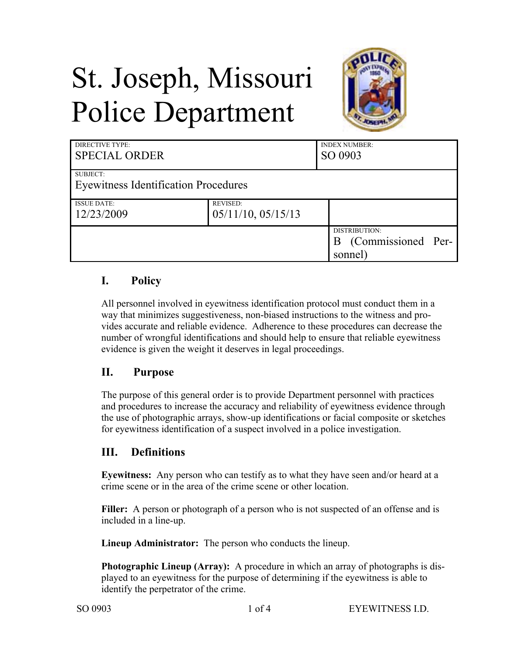# St. Joseph, Missouri Police Department



| <b>DIRECTIVE TYPE:</b><br><b>SPECIAL ORDER</b> |                                       | <b>INDEX NUMBER:</b><br>SO 0903                |
|------------------------------------------------|---------------------------------------|------------------------------------------------|
| SUBJECT:                                       |                                       |                                                |
| <b>Eyewitness Identification Procedures</b>    |                                       |                                                |
| <b>ISSUE DATE:</b><br>12/23/2009               | <b>REVISED:</b><br>05/11/10, 05/15/13 |                                                |
|                                                |                                       | DISTRIBUTION:<br>(Commissioned Per-<br>sonnel) |

## **I. Policy**

All personnel involved in eyewitness identification protocol must conduct them in a way that minimizes suggestiveness, non-biased instructions to the witness and provides accurate and reliable evidence. Adherence to these procedures can decrease the number of wrongful identifications and should help to ensure that reliable eyewitness evidence is given the weight it deserves in legal proceedings.

## **II. Purpose**

The purpose of this general order is to provide Department personnel with practices and procedures to increase the accuracy and reliability of eyewitness evidence through the use of photographic arrays, show-up identifications or facial composite or sketches for eyewitness identification of a suspect involved in a police investigation.

## **III. Definitions**

**Eyewitness:** Any person who can testify as to what they have seen and/or heard at a crime scene or in the area of the crime scene or other location.

**Filler:** A person or photograph of a person who is not suspected of an offense and is included in a line-up.

**Lineup Administrator:** The person who conducts the lineup.

**Photographic Lineup (Array):** A procedure in which an array of photographs is displayed to an eyewitness for the purpose of determining if the eyewitness is able to identify the perpetrator of the crime.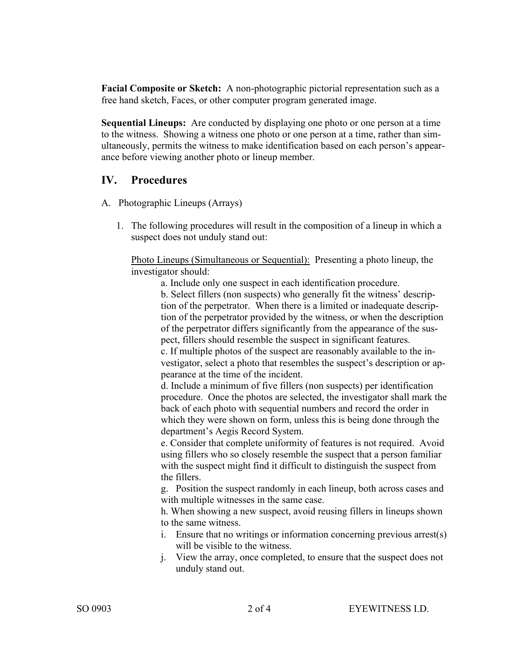**Facial Composite or Sketch:** A non-photographic pictorial representation such as a free hand sketch, Faces, or other computer program generated image.

**Sequential Lineups:** Are conducted by displaying one photo or one person at a time to the witness. Showing a witness one photo or one person at a time, rather than simultaneously, permits the witness to make identification based on each person's appearance before viewing another photo or lineup member.

## **IV. Procedures**

- A. Photographic Lineups (Arrays)
	- 1. The following procedures will result in the composition of a lineup in which a suspect does not unduly stand out:

Photo Lineups (Simultaneous or Sequential): Presenting a photo lineup, the investigator should:

a. Include only one suspect in each identification procedure.

b. Select fillers (non suspects) who generally fit the witness' description of the perpetrator. When there is a limited or inadequate description of the perpetrator provided by the witness, or when the description of the perpetrator differs significantly from the appearance of the suspect, fillers should resemble the suspect in significant features.

c. If multiple photos of the suspect are reasonably available to the investigator, select a photo that resembles the suspect's description or appearance at the time of the incident.

d. Include a minimum of five fillers (non suspects) per identification procedure. Once the photos are selected, the investigator shall mark the back of each photo with sequential numbers and record the order in which they were shown on form, unless this is being done through the department's Aegis Record System.

e. Consider that complete uniformity of features is not required. Avoid using fillers who so closely resemble the suspect that a person familiar with the suspect might find it difficult to distinguish the suspect from the fillers.

g. Position the suspect randomly in each lineup, both across cases and with multiple witnesses in the same case.

h. When showing a new suspect, avoid reusing fillers in lineups shown to the same witness.

- i. Ensure that no writings or information concerning previous arrest(s) will be visible to the witness.
- j. View the array, once completed, to ensure that the suspect does not unduly stand out.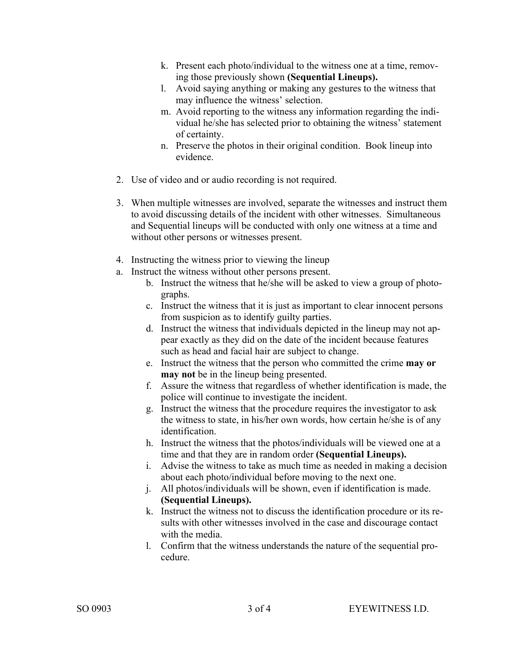- k. Present each photo/individual to the witness one at a time, removing those previously shown **(Sequential Lineups).**
- l. Avoid saying anything or making any gestures to the witness that may influence the witness' selection.
- m. Avoid reporting to the witness any information regarding the individual he/she has selected prior to obtaining the witness' statement of certainty.
- n. Preserve the photos in their original condition. Book lineup into evidence.
- 2. Use of video and or audio recording is not required.
- 3. When multiple witnesses are involved, separate the witnesses and instruct them to avoid discussing details of the incident with other witnesses. Simultaneous and Sequential lineups will be conducted with only one witness at a time and without other persons or witnesses present.
- 4. Instructing the witness prior to viewing the lineup
- a. Instruct the witness without other persons present.
	- b. Instruct the witness that he/she will be asked to view a group of photographs.
	- c. Instruct the witness that it is just as important to clear innocent persons from suspicion as to identify guilty parties.
	- d. Instruct the witness that individuals depicted in the lineup may not appear exactly as they did on the date of the incident because features such as head and facial hair are subject to change.
	- e. Instruct the witness that the person who committed the crime **may or may not** be in the lineup being presented.
	- f. Assure the witness that regardless of whether identification is made, the police will continue to investigate the incident.
	- g. Instruct the witness that the procedure requires the investigator to ask the witness to state, in his/her own words, how certain he/she is of any identification.
	- h. Instruct the witness that the photos/individuals will be viewed one at a time and that they are in random order **(Sequential Lineups).**
	- i. Advise the witness to take as much time as needed in making a decision about each photo/individual before moving to the next one.
	- j. All photos/individuals will be shown, even if identification is made. **(Sequential Lineups).**
	- k. Instruct the witness not to discuss the identification procedure or its results with other witnesses involved in the case and discourage contact with the media.
	- l. Confirm that the witness understands the nature of the sequential procedure.